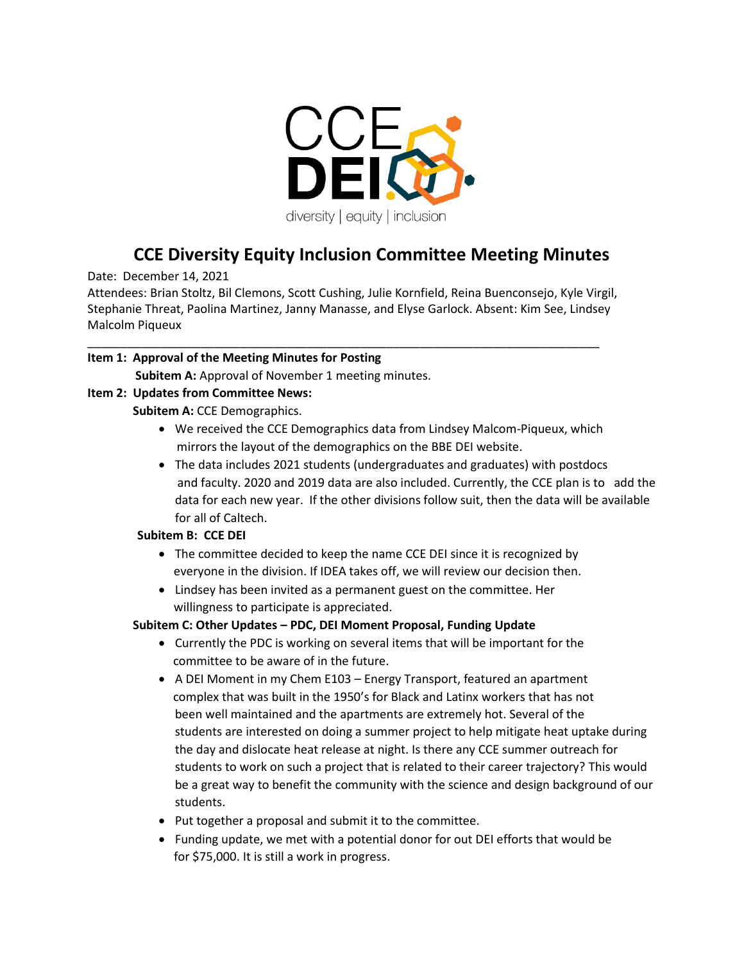

# **CCE Diversity Equity Inclusion Committee Meeting Minutes**

Date: December 14, 2021

Attendees: Brian Stoltz, Bil Clemons, Scott Cushing, Julie Kornfield, Reina Buenconsejo, Kyle Virgil, Stephanie Threat, Paolina Martinez, Janny Manasse, and Elyse Garlock. Absent: Kim See, Lindsey Malcolm Piqueux

\_\_\_\_\_\_\_\_\_\_\_\_\_\_\_\_\_\_\_\_\_\_\_\_\_\_\_\_\_\_\_\_\_\_\_\_\_\_\_\_\_\_\_\_\_\_\_\_\_\_\_\_\_\_\_\_\_\_\_\_\_\_\_\_\_\_\_\_\_\_\_\_\_\_\_\_\_

## **Item 1: Approval of the Meeting Minutes for Posting**

**Subitem A:** Approval of November 1 meeting minutes.

# **Item 2: Updates from Committee News:**

**Subitem A: CCE Demographics.** 

- We received the CCE Demographics data from Lindsey Malcom-Piqueux, which mirrors the layout of the demographics on the BBE DEI website.
- The data includes 2021 students (undergraduates and graduates) with postdocs and faculty. 2020 and 2019 data are also included. Currently, the CCE plan is to add the data for each new year. If the other divisions follow suit, then the data will be available for all of Caltech.

# **Subitem B: CCE DEI**

- The committee decided to keep the name CCE DEI since it is recognized by everyone in the division. If IDEA takes off, we will review our decision then.
- Lindsey has been invited as a permanent guest on the committee. Her willingness to participate is appreciated.

# **Subitem C: Other Updates – PDC, DEI Moment Proposal, Funding Update**

- Currently the PDC is working on several items that will be important for the committee to be aware of in the future.
- A DEI Moment in my Chem E103 Energy Transport, featured an apartment complex that was built in the 1950's for Black and Latinx workers that has not been well maintained and the apartments are extremely hot. Several of the students are interested on doing a summer project to help mitigate heat uptake during the day and dislocate heat release at night. Is there any CCE summer outreach for students to work on such a project that is related to their career trajectory? This would be a great way to benefit the community with the science and design background of our students.
- Put together a proposal and submit it to the committee.
- Funding update, we met with a potential donor for out DEI efforts that would be for \$75,000. It is still a work in progress.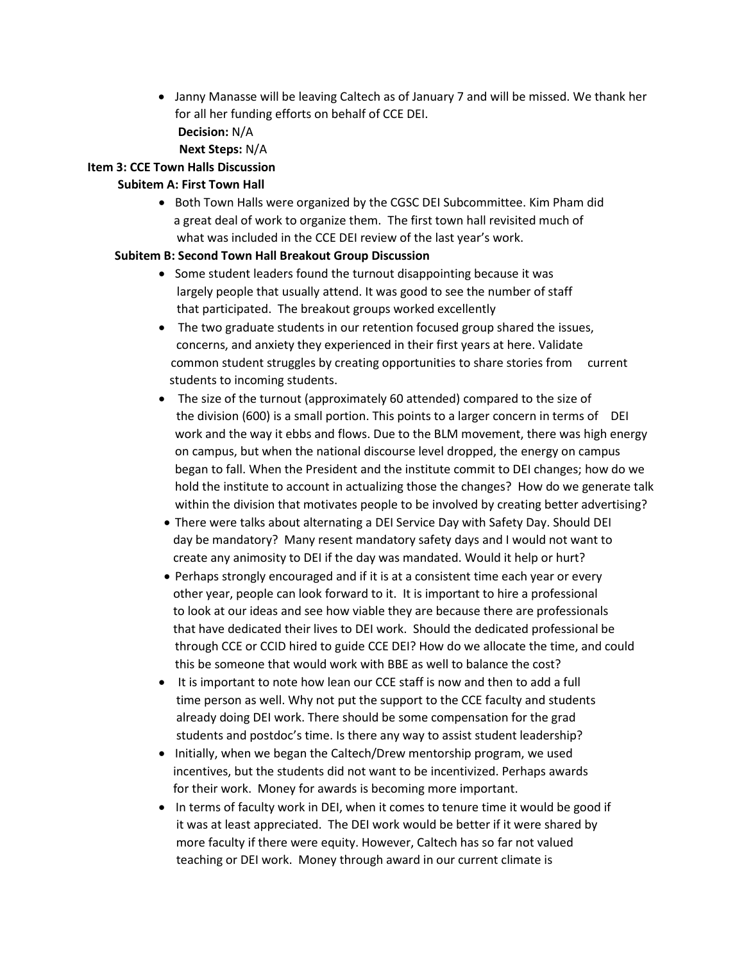- Janny Manasse will be leaving Caltech as of January 7 and will be missed. We thank her for all her funding efforts on behalf of CCE DEI. **Decision:** N/A
	- **Next Steps:** N/A

# **Item 3: CCE Town Halls Discussion**

## **Subitem A: First Town Hall**

• Both Town Halls were organized by the CGSC DEI Subcommittee. Kim Pham did a great deal of work to organize them. The first town hall revisited much of what was included in the CCE DEI review of the last year's work.

### **Subitem B: Second Town Hall Breakout Group Discussion**

- Some student leaders found the turnout disappointing because it was largely people that usually attend. It was good to see the number of staff that participated. The breakout groups worked excellently
- The two graduate students in our retention focused group shared the issues, concerns, and anxiety they experienced in their first years at here. Validate common student struggles by creating opportunities to share stories from current students to incoming students.
- The size of the turnout (approximately 60 attended) compared to the size of the division (600) is a small portion. This points to a larger concern in terms of DEI work and the way it ebbs and flows. Due to the BLM movement, there was high energy on campus, but when the national discourse level dropped, the energy on campus began to fall. When the President and the institute commit to DEI changes; how do we hold the institute to account in actualizing those the changes? How do we generate talk within the division that motivates people to be involved by creating better advertising?
- There were talks about alternating a DEI Service Day with Safety Day. Should DEI day be mandatory? Many resent mandatory safety days and I would not want to create any animosity to DEI if the day was mandated. Would it help or hurt?
- Perhaps strongly encouraged and if it is at a consistent time each year or every other year, people can look forward to it. It is important to hire a professional to look at our ideas and see how viable they are because there are professionals that have dedicated their lives to DEI work. Should the dedicated professional be through CCE or CCID hired to guide CCE DEI? How do we allocate the time, and could this be someone that would work with BBE as well to balance the cost?
- It is important to note how lean our CCE staff is now and then to add a full time person as well. Why not put the support to the CCE faculty and students already doing DEI work. There should be some compensation for the grad students and postdoc's time. Is there any way to assist student leadership?
- Initially, when we began the Caltech/Drew mentorship program, we used incentives, but the students did not want to be incentivized. Perhaps awards for their work. Money for awards is becoming more important.
- In terms of faculty work in DEI, when it comes to tenure time it would be good if it was at least appreciated. The DEI work would be better if it were shared by more faculty if there were equity. However, Caltech has so far not valued teaching or DEI work. Money through award in our current climate is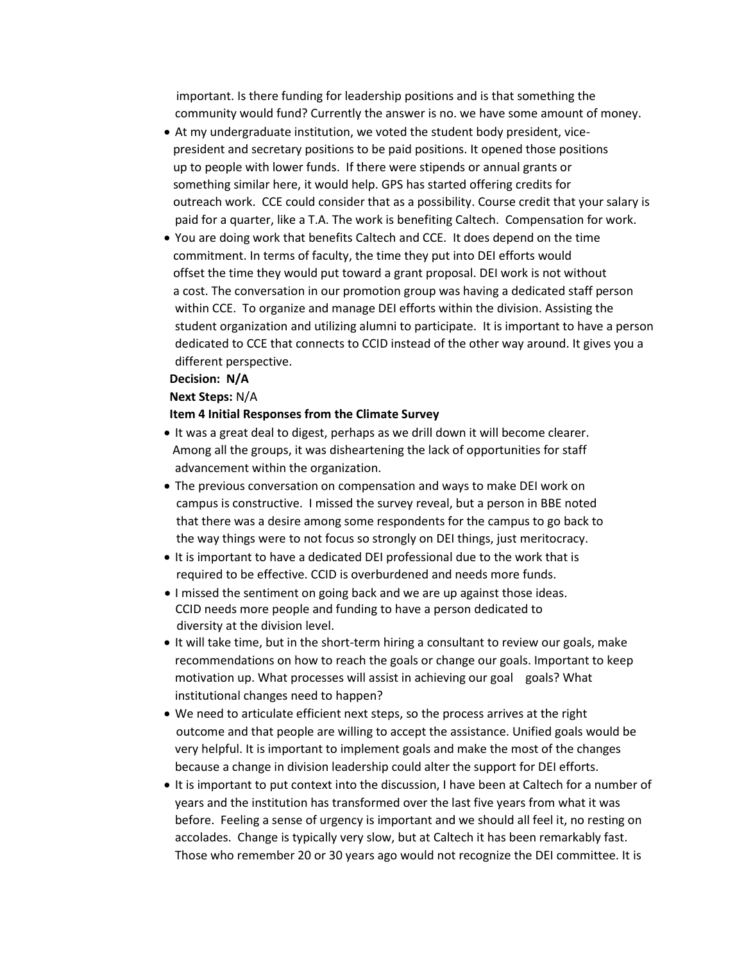important. Is there funding for leadership positions and is that something the community would fund? Currently the answer is no. we have some amount of money.

- At my undergraduate institution, we voted the student body president, vice president and secretary positions to be paid positions. It opened those positions up to people with lower funds. If there were stipends or annual grants or something similar here, it would help. GPS has started offering credits for outreach work. CCE could consider that as a possibility. Course credit that your salary is paid for a quarter, like a T.A. The work is benefiting Caltech. Compensation for work.
- You are doing work that benefits Caltech and CCE. It does depend on the time commitment. In terms of faculty, the time they put into DEI efforts would offset the time they would put toward a grant proposal. DEI work is not without a cost. The conversation in our promotion group was having a dedicated staff person within CCE. To organize and manage DEI efforts within the division. Assisting the student organization and utilizing alumni to participate. It is important to have a person dedicated to CCE that connects to CCID instead of the other way around. It gives you a different perspective.

#### **Decision: N/A**

#### **Next Steps:** N/A

#### **Item 4 Initial Responses from the Climate Survey**

- It was a great deal to digest, perhaps as we drill down it will become clearer. Among all the groups, it was disheartening the lack of opportunities for staff advancement within the organization.
- The previous conversation on compensation and ways to make DEI work on campus is constructive. I missed the survey reveal, but a person in BBE noted that there was a desire among some respondents for the campus to go back to the way things were to not focus so strongly on DEI things, just meritocracy.
- It is important to have a dedicated DEI professional due to the work that is required to be effective. CCID is overburdened and needs more funds.
- I missed the sentiment on going back and we are up against those ideas. CCID needs more people and funding to have a person dedicated to diversity at the division level.
- It will take time, but in the short-term hiring a consultant to review our goals, make recommendations on how to reach the goals or change our goals. Important to keep motivation up. What processes will assist in achieving our goal goals? What institutional changes need to happen?
- We need to articulate efficient next steps, so the process arrives at the right outcome and that people are willing to accept the assistance. Unified goals would be very helpful. It is important to implement goals and make the most of the changes because a change in division leadership could alter the support for DEI efforts.
- It is important to put context into the discussion, I have been at Caltech for a number of years and the institution has transformed over the last five years from what it was before. Feeling a sense of urgency is important and we should all feel it, no resting on accolades. Change is typically very slow, but at Caltech it has been remarkably fast. Those who remember 20 or 30 years ago would not recognize the DEI committee. It is